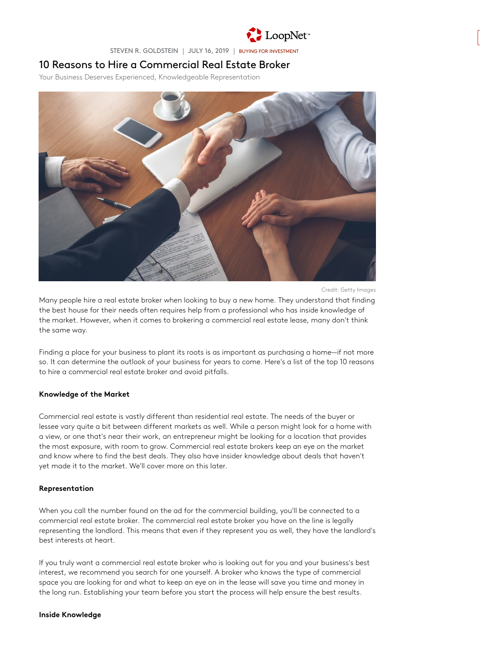

STEVEN R. GOLDSTEIN | JULY 16, 2019 | [BUYING FOR INVESTMENT](https://www.loopnet.com/learn/buying-for-investment/)

# 10 Reasons to Hire a Commercial Real Estate Broker

Your Business Deserves Experienced, Knowledgeable Representation



Credit: Getty Images

Many people hire a real estate broker when looking to buy a new home. They understand that finding the best house for their needs often requires help from a professional who has inside knowledge of the market. However, when it comes to brokering a commercial real estate lease, many don't think the same way.

Finding a place for your business to plant its roots is as important as purchasing a home—if not more so. It can determine the outlook of your business for years to come. Here's a list of the top 10 reasons to hire a commercial real estate broker and avoid pitfalls.

### Knowledge of the Market

Commercial real estate is vastly different than residential real estate. The needs of the buyer or lessee vary quite a bit between different markets as well. While a person might look for a home with a view, or one that's near their work, an entrepreneur might be looking for a location that provides the most exposure, with room to grow. Commercial real estate brokers keep an eye on the market and know where to find the best deals. They also have insider knowledge about deals that haven't yet made it to the market. We'll cover more on this later.

#### Representation

When you call the number found on the ad for the commercial building, you'll be connected to a commercial real estate broker. The commercial real estate broker you have on the line is legally representing the landlord. This means that even if they represent you as well, they have the landlord's best interests at heart.

If you truly want a commercial real estate broker who is looking out for you and your business's best interest, we recommend you search for one yourself. A broker who knows the type of commercial space you are looking for and what to keep an eye on in the lease will save you time and money in the long run. Establishing your team before you start the process will help ensure the best results.

#### Inside Knowledge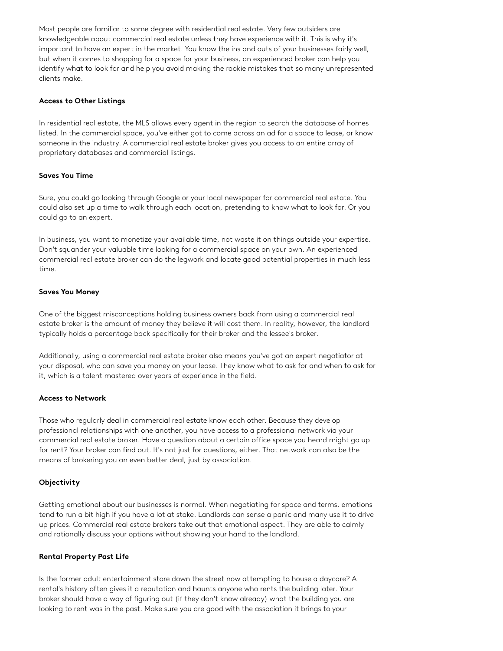Most people are familiar to some degree with residential real estate. Very few outsiders are knowledgeable about commercial real estate unless they have experience with it. This is why it's important to have an expert in the market. You know the ins and outs of your businesses fairly well, but when it comes to shopping for a space for your business, an experienced broker can help you identify what to look for and help you avoid making the rookie mistakes that so many unrepresented clients make.

### Access to Other Listings

In residential real estate, the MLS allows every agent in the region to search the database of homes listed. In the commercial space, you've either got to come across an ad for a space to lease, or know someone in the industry. A commercial real estate broker gives you access to an entire array of proprietary databases and commercial listings.

# Saves You Time

Sure, you could go looking through Google or your local newspaper for commercial real estate. You could also set up a time to walk through each location, pretending to know what to look for. Or you could go to an expert.

In business, you want to monetize your available time, not waste it on things outside your expertise. Don't squander your valuable time looking for a commercial space on your own. An experienced commercial real estate broker can do the legwork and locate good potential properties in much less time.

# Saves You Money

One of the biggest misconceptions holding business owners back from using a commercial real estate broker is the amount of money they believe it will cost them. In reality, however, the landlord typically holds a percentage back specifically for their broker and the lessee's broker.

Additionally, using a commercial real estate broker also means you've got an expert negotiator at your disposal, who can save you money on your lease. They know what to ask for and when to ask for it, which is a talent mastered over years of experience in the field.

### Access to Network

Those who regularly deal in commercial real estate know each other. Because they develop professional relationships with one another, you have access to a professional network via your commercial real estate broker. Have a question about a certain office space you heard might go up for rent? Your broker can find out. It's not just for questions, either. That network can also be the means of brokering you an even better deal, just by association.

# Objectivity

Getting emotional about our businesses is normal. When negotiating for space and terms, emotions tend to run a bit high if you have a lot at stake. Landlords can sense a panic and many use it to drive up prices. Commercial real estate brokers take out that emotional aspect. They are able to calmly and rationally discuss your options without showing your hand to the landlord.

### Rental Property Past Life

Is the former adult entertainment store down the street now attempting to house a daycare? A rental's history often gives it a reputation and haunts anyone who rents the building later. Your broker should have a way of figuring out (if they don't know already) what the building you are looking to rent was in the past. Make sure you are good with the association it brings to your